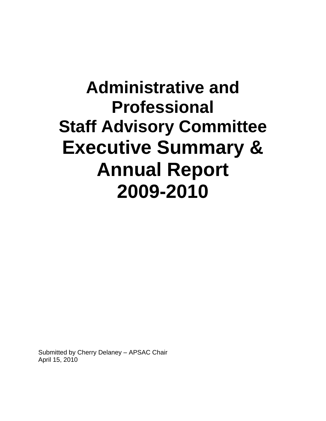# **Administrative and Professional Staff Advisory Committee Executive Summary & Annual Report 2009-2010**

Submitted by Cherry Delaney – APSAC Chair April 15, 2010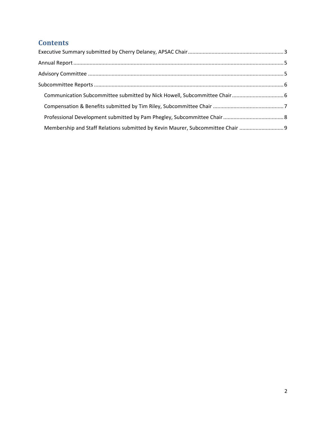## **Contents**

| Membership and Staff Relations submitted by Kevin Maurer, Subcommittee Chair |  |
|------------------------------------------------------------------------------|--|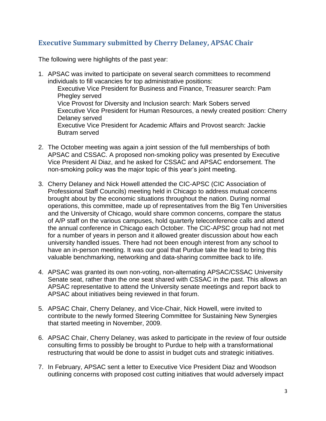## <span id="page-2-0"></span>**Executive Summary submitted by Cherry Delaney, APSAC Chair**

The following were highlights of the past year:

- 1. APSAC was invited to participate on several search committees to recommend individuals to fill vacancies for top administrative positions: Executive Vice President for Business and Finance, Treasurer search: Pam Phegley served Vice Provost for Diversity and Inclusion search: Mark Sobers served Executive Vice President for Human Resources, a newly created position: Cherry Delaney served Executive Vice President for Academic Affairs and Provost search: Jackie Butram served
- 2. The October meeting was again a joint session of the full memberships of both APSAC and CSSAC. A proposed non-smoking policy was presented by Executive Vice President Al Diaz, and he asked for CSSAC and APSAC endorsement. The non-smoking policy was the major topic of this year's joint meeting.
- 3. Cherry Delaney and Nick Howell attended the CIC-APSC (CIC Association of Professional Staff Councils) meeting held in Chicago to address mutual concerns brought about by the economic situations throughout the nation. During normal operations, this committee, made up of representatives from the Big Ten Universities and the University of Chicago, would share common concerns, compare the status of A/P staff on the various campuses, hold quarterly teleconference calls and attend the annual conference in Chicago each October. The CIC-APSC group had not met for a number of years in person and it allowed greater discussion about how each university handled issues. There had not been enough interest from any school to have an in-person meeting. It was our goal that Purdue take the lead to bring this valuable benchmarking, networking and data-sharing committee back to life.
- 4. APSAC was granted its own non-voting, non-alternating APSAC/CSSAC University Senate seat, rather than the one seat shared with CSSAC in the past. This allows an APSAC representative to attend the University senate meetings and report back to APSAC about initiatives being reviewed in that forum.
- 5. APSAC Chair, Cherry Delaney, and Vice-Chair, Nick Howell, were invited to contribute to the newly formed Steering Committee for Sustaining New Synergies that started meeting in November, 2009.
- 6. APSAC Chair, Cherry Delaney, was asked to participate in the review of four outside consulting firms to possibly be brought to Purdue to help with a transformational restructuring that would be done to assist in budget cuts and strategic initiatives.
- 7. In February, APSAC sent a letter to Executive Vice President Diaz and Woodson outlining concerns with proposed cost cutting initiatives that would adversely impact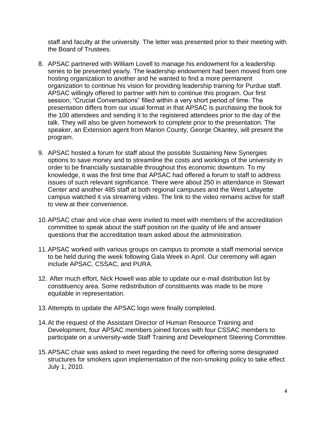staff and faculty at the university. The letter was presented prior to their meeting with the Board of Trustees.

- 8. APSAC partnered with William Lovell to manage his endowment for a leadership series to be presented yearly. The leadership endowment had been moved from one hosting organization to another and he wanted to find a more permanent organization to continue his vision for providing leadership training for Purdue staff. APSAC willingly offered to partner with him to continue this program. Our first session, "Crucial Conversations" filled within a very short period of time. The presentation differs from our usual format in that APSAC is purchasing the book for the 100 attendees and sending it to the registered attendees prior to the day of the talk. They will also be given homework to complete prior to the presentation. The speaker, an Extension agent from Marion County, George Okantey, will present the program.
- 9. APSAC hosted a forum for staff about the possible Sustaining New Synergies options to save money and to streamline the costs and workings of the university in order to be financially sustainable throughout this economic downturn. To my knowledge, it was the first time that APSAC had offered a forum to staff to address issues of such relevant significance. There were about 250 in attendance in Stewart Center and another 485 staff at both regional campuses and the West Lafayette campus watched it via streaming video. The link to the video remains active for staff to view at their convenience.
- 10.APSAC chair and vice chair were invited to meet with members of the accreditation committee to speak about the staff position on the quality of life and answer questions that the accreditation team asked about the administration.
- 11.APSAC worked with various groups on campus to promote a staff memorial service to be held during the week following Gala Week in April. Our ceremony will again include APSAC, CSSAC, and PURA.
- 12. After much effort, Nick Howell was able to update our e-mail distribution list by constituency area. Some redistribution of constituents was made to be more equitable in representation.
- 13.Attempts to update the APSAC logo were finally completed.
- 14.At the request of the Assistant Director of Human Resource Training and Development, four APSAC members joined forces with four CSSAC members to participate on a university-wide Staff Training and Development Steering Committee.
- 15.APSAC chair was asked to meet regarding the need for offering some designated structures for smokers upon implementation of the non-smoking policy to take effect July 1, 2010.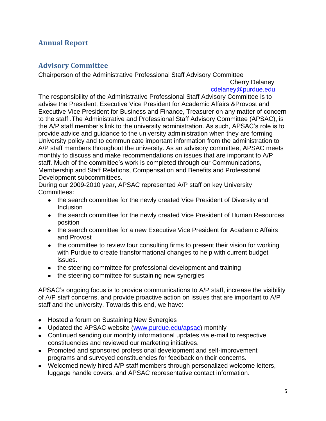## <span id="page-4-1"></span><span id="page-4-0"></span>**Annual Report**

## **Advisory Committee**

Chairperson of the Administrative Professional Staff Advisory Committee

Cherry Delaney cdelaney@purdue.edu

The responsibility of the Administrative Professional Staff Advisory Committee is to advise the President, Executive Vice President for Academic Affairs &Provost and Executive Vice President for Business and Finance, Treasurer on any matter of concern to the staff .The Administrative and Professional Staff Advisory Committee (APSAC), is the A/P staff member's link to the university administration. As such, APSAC's role is to provide advice and guidance to the university administration when they are forming University policy and to communicate important information from the administration to A/P staff members throughout the university. As an advisory committee, APSAC meets monthly to discuss and make recommendations on issues that are important to A/P staff. Much of the committee's work is completed through our Communications, Membership and Staff Relations, Compensation and Benefits and Professional Development subcommittees.

During our 2009-2010 year, APSAC represented A/P staff on key University Committees:

- the search committee for the newly created Vice President of Diversity and **Inclusion**
- the search committee for the newly created Vice President of Human Resources position
- the search committee for a new Executive Vice President for Academic Affairs and Provost
- the committee to review four consulting firms to present their vision for working with Purdue to create transformational changes to help with current budget issues.
- the steering committee for professional development and training
- the steering committee for sustaining new synergies

APSAC's ongoing focus is to provide communications to A/P staff, increase the visibility of A/P staff concerns, and provide proactive action on issues that are important to A/P staff and the university. Towards this end, we have:

- Hosted a forum on Sustaining New Synergies
- Updated the APSAC website [\(www.purdue.edu/apsac\)](http://www.purdue.edu/apsac) monthly
- Continued sending our monthly informational updates via e-mail to respective constituencies and reviewed our marketing initiatives.
- Promoted and sponsored professional development and self-improvement programs and surveyed constituencies for feedback on their concerns.
- Welcomed newly hired A/P staff members through personalized welcome letters, luggage handle covers, and APSAC representative contact information.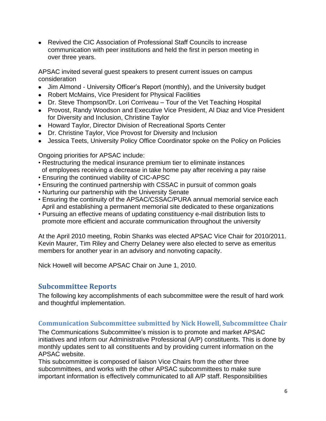Revived the CIC Association of Professional Staff Councils to increase communication with peer institutions and held the first in person meeting in over three years.

APSAC invited several guest speakers to present current issues on campus consideration

- Jim Almond University Officer's Report (monthly), and the University budget
- Robert McMains, Vice President for Physical Facilities
- Dr. Steve Thompson/Dr. Lori Corriveau Tour of the Vet Teaching Hospital
- Provost, Randy Woodson and Executive Vice President, Al Diaz and Vice President for Diversity and Inclusion, Christine Taylor
- Howard Taylor, Director Division of Recreational Sports Center
- Dr. Christine Taylor, Vice Provost for Diversity and Inclusion
- Jessica Teets, University Policy Office Coordinator spoke on the Policy on Policies

Ongoing priorities for APSAC include:

- Restructuring the medical insurance premium tier to eliminate instances of employees receiving a decrease in take home pay after receiving a pay raise
- Ensuring the continued viability of CIC-APSC
- Ensuring the continued partnership with CSSAC in pursuit of common goals
- Nurturing our partnership with the University Senate
- Ensuring the continuity of the APSAC/CSSAC/PURA annual memorial service each April and establishing a permanent memorial site dedicated to these organizations
- Pursuing an effective means of updating constituency e-mail distribution lists to promote more efficient and accurate communication throughout the university

At the April 2010 meeting, Robin Shanks was elected APSAC Vice Chair for 2010/2011. Kevin Maurer, Tim Riley and Cherry Delaney were also elected to serve as emeritus members for another year in an advisory and nonvoting capacity.

<span id="page-5-0"></span>Nick Howell will become APSAC Chair on June 1, 2010.

## **Subcommittee Reports**

The following key accomplishments of each subcommittee were the result of hard work and thoughtful implementation.

#### <span id="page-5-1"></span>**Communication Subcommittee submitted by Nick Howell, Subcommittee Chair**

The Communications Subcommittee's mission is to promote and market APSAC initiatives and inform our Administrative Professional (A/P) constituents. This is done by monthly updates sent to all constituents and by providing current information on the APSAC website.

This subcommittee is composed of liaison Vice Chairs from the other three subcommittees, and works with the other APSAC subcommittees to make sure important information is effectively communicated to all A/P staff. Responsibilities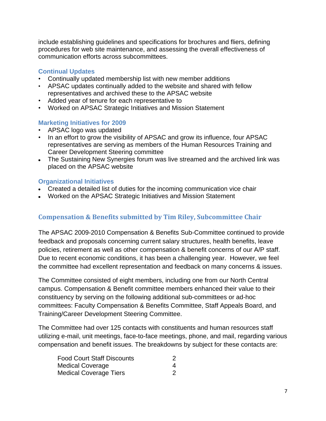include establishing guidelines and specifications for brochures and fliers, defining procedures for web site maintenance, and assessing the overall effectiveness of communication efforts across subcommittees.

#### **Continual Updates**

- Continually updated membership list with new member additions
- APSAC updates continually added to the website and shared with fellow representatives and archived these to the APSAC website
- Added year of tenure for each representative to
- Worked on APSAC Strategic Initiatives and Mission Statement

#### **Marketing Initiatives for 2009**

- APSAC logo was updated
- In an effort to grow the visibility of APSAC and grow its influence, four APSAC representatives are serving as members of the Human Resources Training and Career Development Steering committee
- The Sustaining New Synergies forum was live streamed and the archived link was placed on the APSAC website

#### **Organizational Initiatives**

- Created a detailed list of duties for the incoming communication vice chair
- Worked on the APSAC Strategic Initiatives and Mission Statement

#### <span id="page-6-0"></span>**Compensation & Benefits submitted by Tim Riley, Subcommittee Chair**

The APSAC 2009-2010 Compensation & Benefits Sub-Committee continued to provide feedback and proposals concerning current salary structures, health benefits, leave policies, retirement as well as other compensation & benefit concerns of our A/P staff. Due to recent economic conditions, it has been a challenging year. However, we feel the committee had excellent representation and feedback on many concerns & issues.

The Committee consisted of eight members, including one from our North Central campus. Compensation & Benefit committee members enhanced their value to their constituency by serving on the following additional sub-committees or ad-hoc committees: Faculty Compensation & Benefits Committee, Staff Appeals Board, and Training/Career Development Steering Committee.

The Committee had over 125 contacts with constituents and human resources staff utilizing e-mail, unit meetings, face-to-face meetings, phone, and mail, regarding various compensation and benefit issues. The breakdowns by subject for these contacts are:

| <b>Food Court Staff Discounts</b> |  |
|-----------------------------------|--|
| Medical Coverage                  |  |
| <b>Medical Coverage Tiers</b>     |  |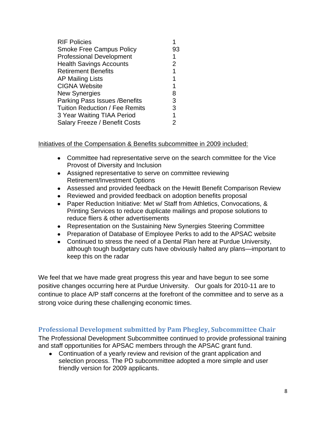| <b>RIF Policies</b>                   |                |
|---------------------------------------|----------------|
| <b>Smoke Free Campus Policy</b>       | 93             |
| <b>Professional Development</b>       | 1              |
| <b>Health Savings Accounts</b>        | $\overline{2}$ |
| <b>Retirement Benefits</b>            | 1              |
| <b>AP Mailing Lists</b>               | 1              |
| <b>CIGNA Website</b>                  | 1              |
| <b>New Synergies</b>                  | 8              |
| Parking Pass Issues / Benefits        | 3              |
| <b>Tuition Reduction / Fee Remits</b> | 3              |
| 3 Year Waiting TIAA Period            | 1              |
| Salary Freeze / Benefit Costs         | 2              |

Initiatives of the Compensation & Benefits subcommittee in 2009 included:

- Committee had representative serve on the search committee for the Vice Provost of Diversity and Inclusion
- Assigned representative to serve on committee reviewing Retirement/Investment Options
- Assessed and provided feedback on the Hewitt Benefit Comparison Review
- Reviewed and provided feedback on adoption benefits proposal
- Paper Reduction Initiative: Met w/ Staff from Athletics, Convocations, & Printing Services to reduce duplicate mailings and propose solutions to reduce fliers & other advertisements
- Representation on the Sustaining New Synergies Steering Committee
- Preparation of Database of Employee Perks to add to the APSAC website
- Continued to stress the need of a Dental Plan here at Purdue University, although tough budgetary cuts have obviously halted any plans—important to keep this on the radar

We feel that we have made great progress this year and have begun to see some positive changes occurring here at Purdue University. Our goals for 2010-11 are to continue to place A/P staff concerns at the forefront of the committee and to serve as a strong voice during these challenging economic times.

## <span id="page-7-0"></span>**Professional Development submitted by Pam Phegley, Subcommittee Chair**

The Professional Development Subcommittee continued to provide professional training and staff opportunities for APSAC members through the APSAC grant fund.

Continuation of a yearly review and revision of the grant application and selection process. The PD subcommittee adopted a more simple and user friendly version for 2009 applicants.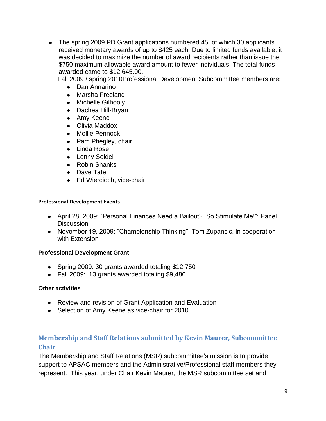• The spring 2009 PD Grant applications numbered 45, of which 30 applicants received monetary awards of up to \$425 each. Due to limited funds available, it was decided to maximize the number of award recipients rather than issue the \$750 maximum allowable award amount to fewer individuals. The total funds awarded came to \$12,645.00.

Fall 2009 / spring 2010Professional Development Subcommittee members are:

- Dan Annarino
- Marsha Freeland
- Michelle Gilhooly
- Dachea Hill-Bryan
- Amy Keene
- Olivia Maddox
- Mollie Pennock
- Pam Phegley, chair
- Linda Rose
- Lenny Seidel
- Robin Shanks
- Dave Tate
- Ed Wiercioch, vice-chair

#### **Professional Development Events**

- April 28, 2009: "Personal Finances Need a Bailout? So Stimulate Me!"; Panel **Discussion**
- November 19, 2009: "Championship Thinking"; Tom Zupancic, in cooperation with Extension

#### **Professional Development Grant**

- Spring 2009: 30 grants awarded totaling \$12,750
- Fall 2009: 13 grants awarded totaling \$9,480

#### **Other activities**

- Review and revision of Grant Application and Evaluation
- Selection of Amy Keene as vice-chair for 2010

## <span id="page-8-0"></span>**Membership and Staff Relations submitted by Kevin Maurer, Subcommittee Chair**

The Membership and Staff Relations (MSR) subcommittee's mission is to provide support to APSAC members and the Administrative/Professional staff members they represent. This year, under Chair Kevin Maurer, the MSR subcommittee set and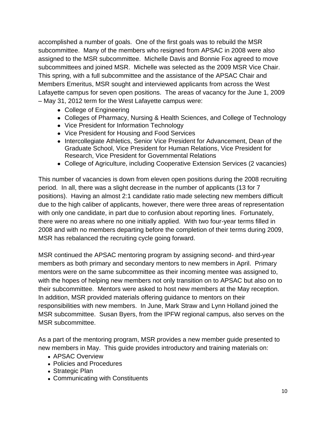accomplished a number of goals. One of the first goals was to rebuild the MSR subcommittee. Many of the members who resigned from APSAC in 2008 were also assigned to the MSR subcommittee. Michelle Davis and Bonnie Fox agreed to move subcommittees and joined MSR. Michelle was selected as the 2009 MSR Vice Chair. This spring, with a full subcommittee and the assistance of the APSAC Chair and Members Emeritus, MSR sought and interviewed applicants from across the West Lafayette campus for seven open positions. The areas of vacancy for the June 1, 2009 – May 31, 2012 term for the West Lafayette campus were:

- College of Engineering
- Colleges of Pharmacy, Nursing & Health Sciences, and College of Technology
- Vice President for Information Technology
- Vice President for Housing and Food Services
- Intercollegiate Athletics, Senior Vice President for Advancement, Dean of the Graduate School, Vice President for Human Relations, Vice President for Research, Vice President for Governmental Relations
- College of Agriculture, including Cooperative Extension Services (2 vacancies)

This number of vacancies is down from eleven open positions during the 2008 recruiting period. In all, there was a slight decrease in the number of applicants (13 for 7 positions). Having an almost 2:1 candidate ratio made selecting new members difficult due to the high caliber of applicants, however, there were three areas of representation with only one candidate, in part due to confusion about reporting lines. Fortunately, there were no areas where no one initially applied. With two four-year terms filled in 2008 and with no members departing before the completion of their terms during 2009, MSR has rebalanced the recruiting cycle going forward.

MSR continued the APSAC mentoring program by assigning second- and third-year members as both primary and secondary mentors to new members in April. Primary mentors were on the same subcommittee as their incoming mentee was assigned to, with the hopes of helping new members not only transition on to APSAC but also on to their subcommittee. Mentors were asked to host new members at the May reception. In addition, MSR provided materials offering guidance to mentors on their responsibilities with new members. In June, Mark Straw and Lynn Holland joined the MSR subcommittee. Susan Byers, from the IPFW regional campus, also serves on the MSR subcommittee.

As a part of the mentoring program, MSR provides a new member guide presented to new members in May. This guide provides introductory and training materials on:

- APSAC Overview
- Policies and Procedures
- Strategic Plan
- Communicating with Constituents